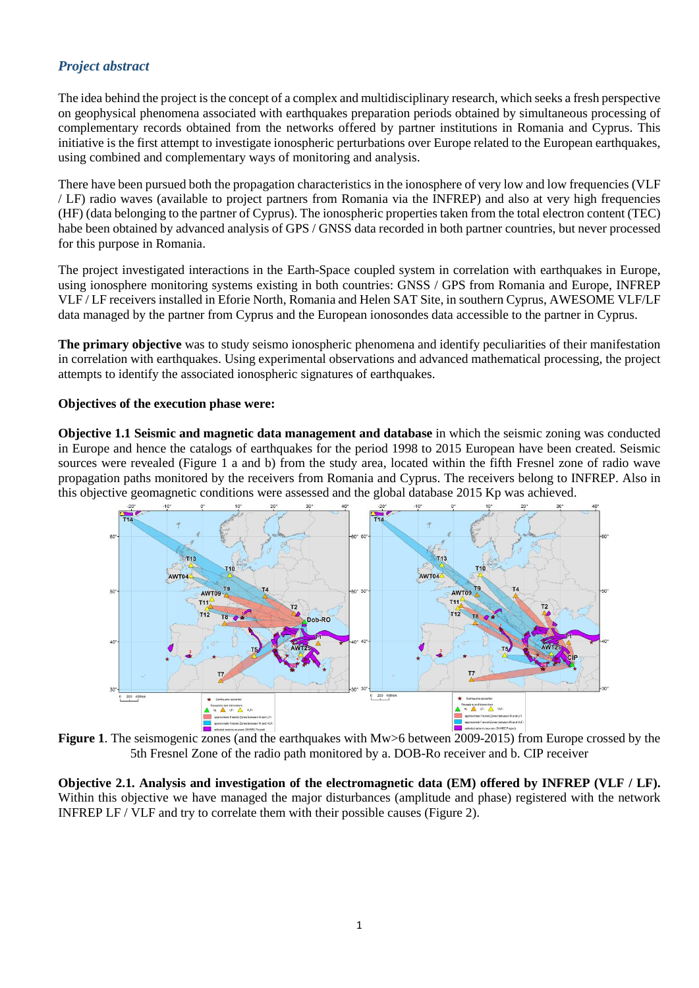## *Project abstract*

The idea behind the project is the concept of a complex and multidisciplinary research, which seeks a fresh perspective on geophysical phenomena associated with earthquakes preparation periods obtained by simultaneous processing of complementary records obtained from the networks offered by partner institutions in Romania and Cyprus. This initiative is the first attempt to investigate ionospheric perturbations over Europe related to the European earthquakes, using combined and complementary ways of monitoring and analysis.

There have been pursued both the propagation characteristics in the ionosphere of very low and low frequencies (VLF / LF) radio waves (available to project partners from Romania via the INFREP) and also at very high frequencies (HF) (data belonging to the partner of Cyprus). The ionospheric properties taken from the total electron content (TEC) habe been obtained by advanced analysis of GPS / GNSS data recorded in both partner countries, but never processed for this purpose in Romania.

The project investigated interactions in the Earth-Space coupled system in correlation with earthquakes in Europe, using ionosphere monitoring systems existing in both countries: GNSS / GPS from Romania and Europe, INFREP VLF / LF receivers installed in Eforie North, Romania and Helen SAT Site, in southern Cyprus, AWESOME VLF/LF data managed by the partner from Cyprus and the European ionosondes data accessible to the partner in Cyprus.

**The primary objective** was to study seismo ionospheric phenomena and identify peculiarities of their manifestation in correlation with earthquakes. Using experimental observations and advanced mathematical processing, the project attempts to identify the associated ionospheric signatures of earthquakes.

## **Objectives of the execution phase were:**

**Objective 1.1 Seismic and magnetic data management and database** in which the seismic zoning was conducted in Europe and hence the catalogs of earthquakes for the period 1998 to 2015 European have been created. Seismic sources were revealed (Figure 1 a and b) from the study area, located within the fifth Fresnel zone of radio wave propagation paths monitored by the receivers from Romania and Cyprus. The receivers belong to INFREP. Also in this objective geomagnetic conditions were assessed and the global database 2015 Kp was achieved.



**Figure** 1. The seismogenic zones (and the earthquakes with Mw>6 between 2009-2015) from Europe crossed by the 5th Fresnel Zone of the radio path monitored by a. DOB-Ro receiver and b. CIP receiver

**Objective 2.1. Analysis and investigation of the electromagnetic data (EM) offered by INFREP (VLF / LF).** Within this objective we have managed the major disturbances (amplitude and phase) registered with the network INFREP LF / VLF and try to correlate them with their possible causes (Figure 2).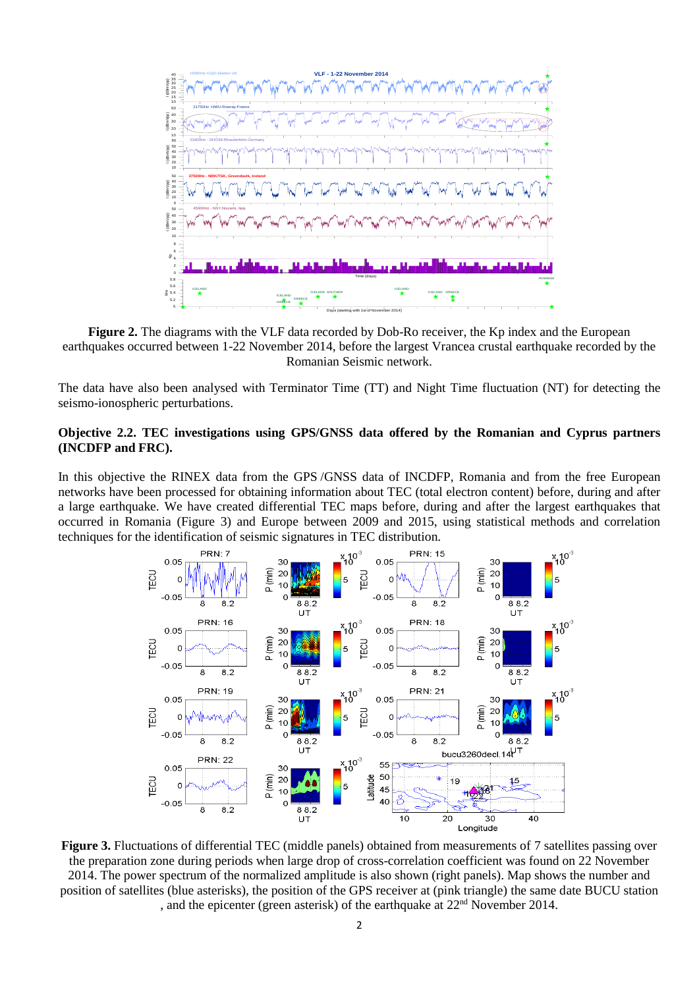

**Figure 2.** The diagrams with the VLF data recorded by Dob-Ro receiver, the Kp index and the European earthquakes occurred between 1-22 November 2014, before the largest Vrancea crustal earthquake recorded by the Romanian Seismic network.

The data have also been analysed with Terminator Time (TT) and Night Time fluctuation (NT) for detecting the seismo-ionospheric perturbations.

## **Objective 2.2. TEC investigations using GPS/GNSS data offered by the Romanian and Cyprus partners (INCDFP and FRC).**

In this objective the RINEX data from the GPS /GNSS data of INCDFP, Romania and from the free European networks have been processed for obtaining information about TEC (total electron content) before, during and after a large earthquake. We have created differential TEC maps before, during and after the largest earthquakes that occurred in Romania (Figure 3) and Europe between 2009 and 2015, using statistical methods and correlation techniques for the identification of seismic signatures in TEC distribution.



**Figure 3.** Fluctuations of differential TEC (middle panels) obtained from measurements of 7 satellites passing over the preparation zone during periods when large drop of cross-correlation coefficient was found on 22 November 2014. The power spectrum of the normalized amplitude is also shown (right panels). Map shows the number and position of satellites (blue asterisks), the position of the GPS receiver at (pink triangle) the same date BUCU station , and the epicenter (green asterisk) of the earthquake at  $22<sup>nd</sup>$  November 2014.